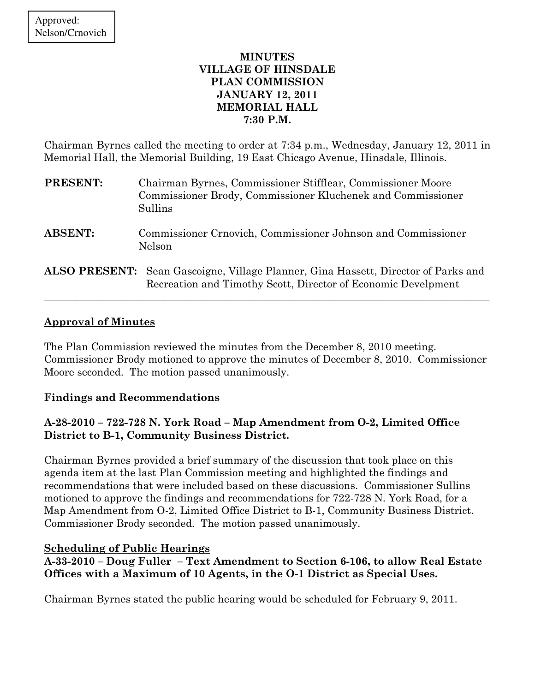### MINUTES VILLAGE OF HINSDALE PLAN COMMISSION JANUARY 12, 2011 MEMORIAL HALL 7:30 P.M.

Chairman Byrnes called the meeting to order at 7:34 p.m., Wednesday, January 12, 2011 in Memorial Hall, the Memorial Building, 19 East Chicago Avenue, Hinsdale, Illinois.

| <b>PRESENT:</b> | Chairman Byrnes, Commissioner Stifflear, Commissioner Moore<br>Commissioner Brody, Commissioner Kluchenek and Commissioner<br>Sullins                      |
|-----------------|------------------------------------------------------------------------------------------------------------------------------------------------------------|
| <b>ABSENT:</b>  | Commissioner Crnovich, Commissioner Johnson and Commissioner<br>Nelson                                                                                     |
|                 | <b>ALSO PRESENT:</b> Sean Gascoigne, Village Planner, Gina Hassett, Director of Parks and<br>Recreation and Timothy Scott, Director of Economic Develpment |

## Approval of Minutes

The Plan Commission reviewed the minutes from the December 8, 2010 meeting. Commissioner Brody motioned to approve the minutes of December 8, 2010. Commissioner Moore seconded. The motion passed unanimously.

## Findings and Recommendations

# A-28-2010 – 722-728 N. York Road – Map Amendment from O-2, Limited Office District to B-1, Community Business District.

Chairman Byrnes provided a brief summary of the discussion that took place on this agenda item at the last Plan Commission meeting and highlighted the findings and recommendations that were included based on these discussions. Commissioner Sullins motioned to approve the findings and recommendations for 722-728 N. York Road, for a Map Amendment from O-2, Limited Office District to B-1, Community Business District. Commissioner Brody seconded. The motion passed unanimously.

## Scheduling of Public Hearings

## A-33-2010 – Doug Fuller – Text Amendment to Section 6-106, to allow Real Estate Offices with a Maximum of 10 Agents, in the O-1 District as Special Uses.

Chairman Byrnes stated the public hearing would be scheduled for February 9, 2011.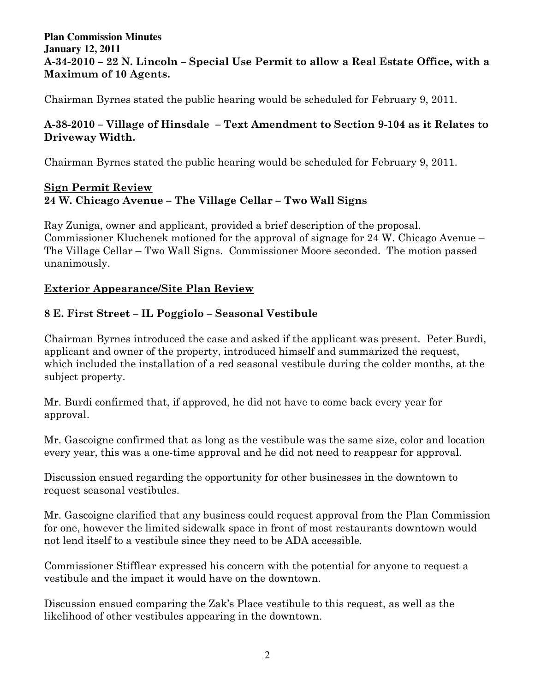### **Plan Commission Minutes January 12, 2011**  A-34-2010 – 22 N. Lincoln – Special Use Permit to allow a Real Estate Office, with a Maximum of 10 Agents.

Chairman Byrnes stated the public hearing would be scheduled for February 9, 2011.

## A-38-2010 – Village of Hinsdale – Text Amendment to Section 9-104 as it Relates to Driveway Width.

Chairman Byrnes stated the public hearing would be scheduled for February 9, 2011.

## Sign Permit Review 24 W. Chicago Avenue – The Village Cellar – Two Wall Signs

Ray Zuniga, owner and applicant, provided a brief description of the proposal. Commissioner Kluchenek motioned for the approval of signage for 24 W. Chicago Avenue – The Village Cellar – Two Wall Signs. Commissioner Moore seconded. The motion passed unanimously.

# Exterior Appearance/Site Plan Review

# 8 E. First Street – IL Poggiolo – Seasonal Vestibule

Chairman Byrnes introduced the case and asked if the applicant was present. Peter Burdi, applicant and owner of the property, introduced himself and summarized the request, which included the installation of a red seasonal vestibule during the colder months, at the subject property.

Mr. Burdi confirmed that, if approved, he did not have to come back every year for approval.

Mr. Gascoigne confirmed that as long as the vestibule was the same size, color and location every year, this was a one-time approval and he did not need to reappear for approval.

Discussion ensued regarding the opportunity for other businesses in the downtown to request seasonal vestibules.

Mr. Gascoigne clarified that any business could request approval from the Plan Commission for one, however the limited sidewalk space in front of most restaurants downtown would not lend itself to a vestibule since they need to be ADA accessible.

Commissioner Stifflear expressed his concern with the potential for anyone to request a vestibule and the impact it would have on the downtown.

Discussion ensued comparing the Zak's Place vestibule to this request, as well as the likelihood of other vestibules appearing in the downtown.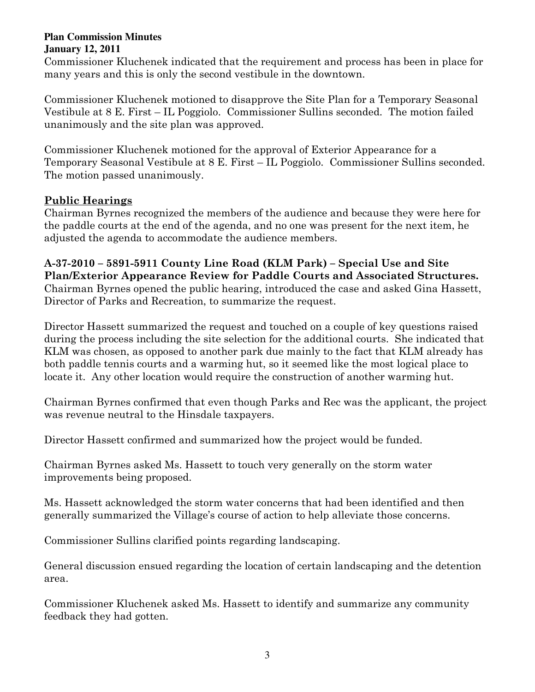Commissioner Kluchenek indicated that the requirement and process has been in place for many years and this is only the second vestibule in the downtown.

Commissioner Kluchenek motioned to disapprove the Site Plan for a Temporary Seasonal Vestibule at 8 E. First – IL Poggiolo. Commissioner Sullins seconded. The motion failed unanimously and the site plan was approved.

Commissioner Kluchenek motioned for the approval of Exterior Appearance for a Temporary Seasonal Vestibule at 8 E. First – IL Poggiolo. Commissioner Sullins seconded. The motion passed unanimously.

# Public Hearings

Chairman Byrnes recognized the members of the audience and because they were here for the paddle courts at the end of the agenda, and no one was present for the next item, he adjusted the agenda to accommodate the audience members.

## A-37-2010 – 5891-5911 County Line Road (KLM Park) – Special Use and Site Plan/Exterior Appearance Review for Paddle Courts and Associated Structures. Chairman Byrnes opened the public hearing, introduced the case and asked Gina Hassett, Director of Parks and Recreation, to summarize the request.

Director Hassett summarized the request and touched on a couple of key questions raised during the process including the site selection for the additional courts. She indicated that KLM was chosen, as opposed to another park due mainly to the fact that KLM already has both paddle tennis courts and a warming hut, so it seemed like the most logical place to locate it. Any other location would require the construction of another warming hut.

Chairman Byrnes confirmed that even though Parks and Rec was the applicant, the project was revenue neutral to the Hinsdale taxpayers.

Director Hassett confirmed and summarized how the project would be funded.

Chairman Byrnes asked Ms. Hassett to touch very generally on the storm water improvements being proposed.

Ms. Hassett acknowledged the storm water concerns that had been identified and then generally summarized the Village's course of action to help alleviate those concerns.

Commissioner Sullins clarified points regarding landscaping.

General discussion ensued regarding the location of certain landscaping and the detention area.

Commissioner Kluchenek asked Ms. Hassett to identify and summarize any community feedback they had gotten.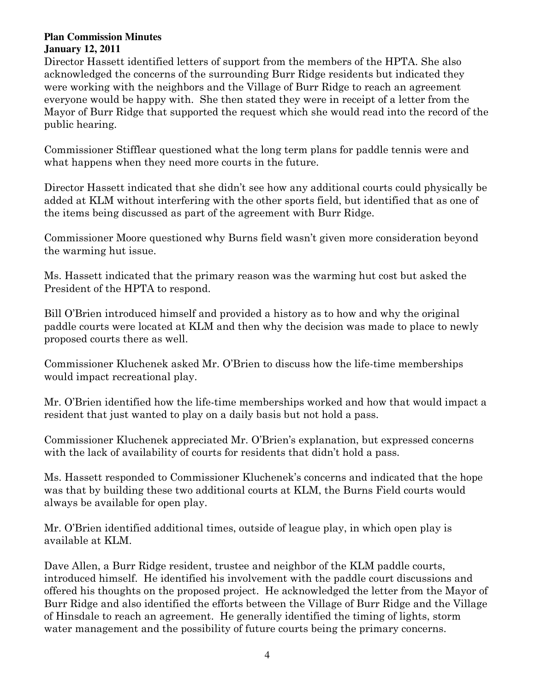Director Hassett identified letters of support from the members of the HPTA. She also acknowledged the concerns of the surrounding Burr Ridge residents but indicated they were working with the neighbors and the Village of Burr Ridge to reach an agreement everyone would be happy with. She then stated they were in receipt of a letter from the Mayor of Burr Ridge that supported the request which she would read into the record of the public hearing.

Commissioner Stifflear questioned what the long term plans for paddle tennis were and what happens when they need more courts in the future.

Director Hassett indicated that she didn't see how any additional courts could physically be added at KLM without interfering with the other sports field, but identified that as one of the items being discussed as part of the agreement with Burr Ridge.

Commissioner Moore questioned why Burns field wasn't given more consideration beyond the warming hut issue.

Ms. Hassett indicated that the primary reason was the warming hut cost but asked the President of the HPTA to respond.

Bill O'Brien introduced himself and provided a history as to how and why the original paddle courts were located at KLM and then why the decision was made to place to newly proposed courts there as well.

Commissioner Kluchenek asked Mr. O'Brien to discuss how the life-time memberships would impact recreational play.

Mr. O'Brien identified how the life-time memberships worked and how that would impact a resident that just wanted to play on a daily basis but not hold a pass.

Commissioner Kluchenek appreciated Mr. O'Brien's explanation, but expressed concerns with the lack of availability of courts for residents that didn't hold a pass.

Ms. Hassett responded to Commissioner Kluchenek's concerns and indicated that the hope was that by building these two additional courts at KLM, the Burns Field courts would always be available for open play.

Mr. O'Brien identified additional times, outside of league play, in which open play is available at KLM.

Dave Allen, a Burr Ridge resident, trustee and neighbor of the KLM paddle courts, introduced himself. He identified his involvement with the paddle court discussions and offered his thoughts on the proposed project. He acknowledged the letter from the Mayor of Burr Ridge and also identified the efforts between the Village of Burr Ridge and the Village of Hinsdale to reach an agreement. He generally identified the timing of lights, storm water management and the possibility of future courts being the primary concerns.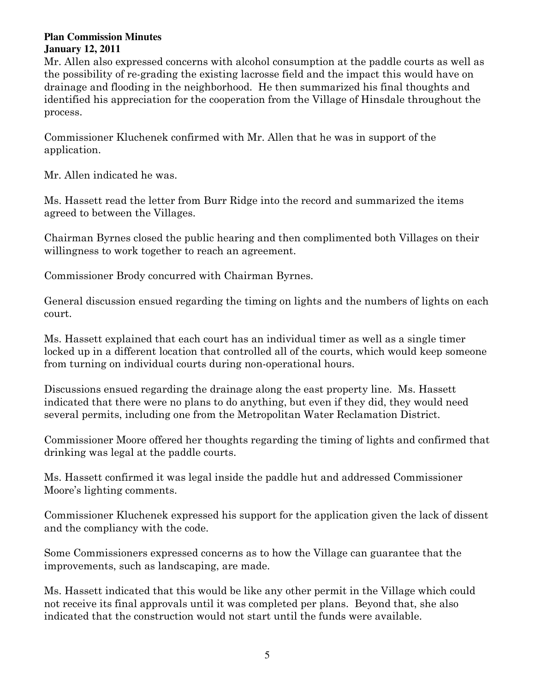Mr. Allen also expressed concerns with alcohol consumption at the paddle courts as well as the possibility of re-grading the existing lacrosse field and the impact this would have on drainage and flooding in the neighborhood. He then summarized his final thoughts and identified his appreciation for the cooperation from the Village of Hinsdale throughout the process.

Commissioner Kluchenek confirmed with Mr. Allen that he was in support of the application.

Mr. Allen indicated he was.

Ms. Hassett read the letter from Burr Ridge into the record and summarized the items agreed to between the Villages.

Chairman Byrnes closed the public hearing and then complimented both Villages on their willingness to work together to reach an agreement.

Commissioner Brody concurred with Chairman Byrnes.

General discussion ensued regarding the timing on lights and the numbers of lights on each court.

Ms. Hassett explained that each court has an individual timer as well as a single timer locked up in a different location that controlled all of the courts, which would keep someone from turning on individual courts during non-operational hours.

Discussions ensued regarding the drainage along the east property line. Ms. Hassett indicated that there were no plans to do anything, but even if they did, they would need several permits, including one from the Metropolitan Water Reclamation District.

Commissioner Moore offered her thoughts regarding the timing of lights and confirmed that drinking was legal at the paddle courts.

Ms. Hassett confirmed it was legal inside the paddle hut and addressed Commissioner Moore's lighting comments.

Commissioner Kluchenek expressed his support for the application given the lack of dissent and the compliancy with the code.

Some Commissioners expressed concerns as to how the Village can guarantee that the improvements, such as landscaping, are made.

Ms. Hassett indicated that this would be like any other permit in the Village which could not receive its final approvals until it was completed per plans. Beyond that, she also indicated that the construction would not start until the funds were available.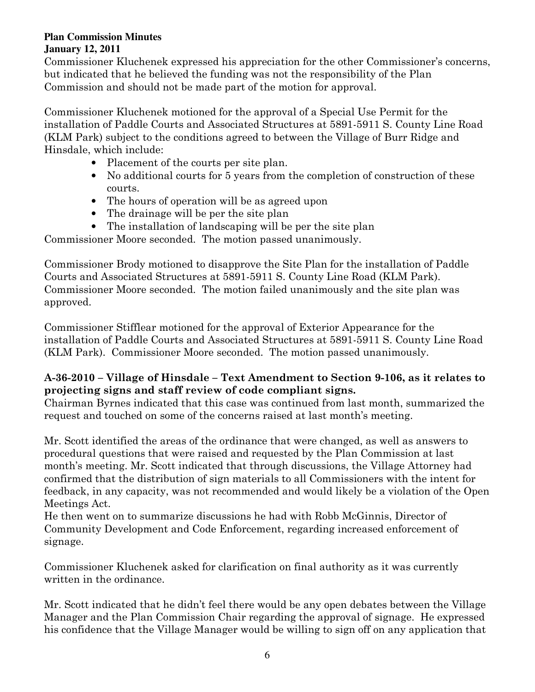Commissioner Kluchenek expressed his appreciation for the other Commissioner's concerns, but indicated that he believed the funding was not the responsibility of the Plan Commission and should not be made part of the motion for approval.

Commissioner Kluchenek motioned for the approval of a Special Use Permit for the installation of Paddle Courts and Associated Structures at 5891-5911 S. County Line Road (KLM Park) subject to the conditions agreed to between the Village of Burr Ridge and Hinsdale, which include:

- Placement of the courts per site plan.
- No additional courts for 5 years from the completion of construction of these courts.
- The hours of operation will be as agreed upon
- The drainage will be per the site plan
- The installation of landscaping will be per the site plan

Commissioner Moore seconded. The motion passed unanimously.

Commissioner Brody motioned to disapprove the Site Plan for the installation of Paddle Courts and Associated Structures at 5891-5911 S. County Line Road (KLM Park). Commissioner Moore seconded. The motion failed unanimously and the site plan was approved.

Commissioner Stifflear motioned for the approval of Exterior Appearance for the installation of Paddle Courts and Associated Structures at 5891-5911 S. County Line Road (KLM Park). Commissioner Moore seconded. The motion passed unanimously.

# A-36-2010 – Village of Hinsdale – Text Amendment to Section 9-106, as it relates to projecting signs and staff review of code compliant signs.

Chairman Byrnes indicated that this case was continued from last month, summarized the request and touched on some of the concerns raised at last month's meeting.

Mr. Scott identified the areas of the ordinance that were changed, as well as answers to procedural questions that were raised and requested by the Plan Commission at last month's meeting. Mr. Scott indicated that through discussions, the Village Attorney had confirmed that the distribution of sign materials to all Commissioners with the intent for feedback, in any capacity, was not recommended and would likely be a violation of the Open Meetings Act.

He then went on to summarize discussions he had with Robb McGinnis, Director of Community Development and Code Enforcement, regarding increased enforcement of signage.

Commissioner Kluchenek asked for clarification on final authority as it was currently written in the ordinance.

Mr. Scott indicated that he didn't feel there would be any open debates between the Village Manager and the Plan Commission Chair regarding the approval of signage. He expressed his confidence that the Village Manager would be willing to sign off on any application that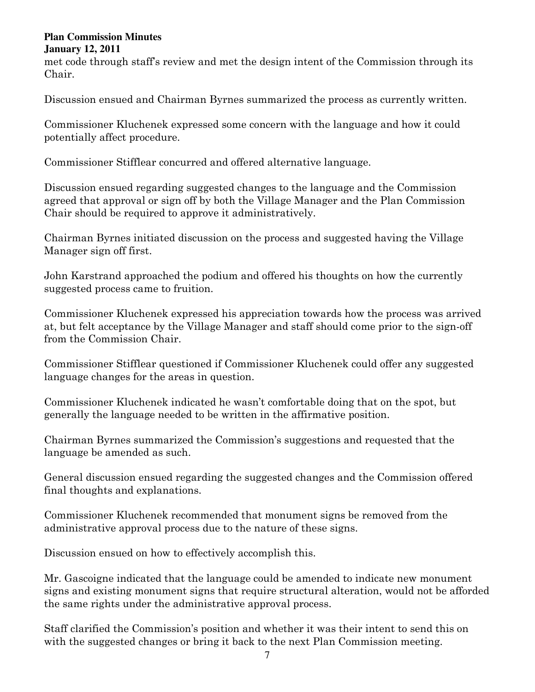met code through staff's review and met the design intent of the Commission through its Chair.

Discussion ensued and Chairman Byrnes summarized the process as currently written.

Commissioner Kluchenek expressed some concern with the language and how it could potentially affect procedure.

Commissioner Stifflear concurred and offered alternative language.

Discussion ensued regarding suggested changes to the language and the Commission agreed that approval or sign off by both the Village Manager and the Plan Commission Chair should be required to approve it administratively.

Chairman Byrnes initiated discussion on the process and suggested having the Village Manager sign off first.

John Karstrand approached the podium and offered his thoughts on how the currently suggested process came to fruition.

Commissioner Kluchenek expressed his appreciation towards how the process was arrived at, but felt acceptance by the Village Manager and staff should come prior to the sign-off from the Commission Chair.

Commissioner Stifflear questioned if Commissioner Kluchenek could offer any suggested language changes for the areas in question.

Commissioner Kluchenek indicated he wasn't comfortable doing that on the spot, but generally the language needed to be written in the affirmative position.

Chairman Byrnes summarized the Commission's suggestions and requested that the language be amended as such.

General discussion ensued regarding the suggested changes and the Commission offered final thoughts and explanations.

Commissioner Kluchenek recommended that monument signs be removed from the administrative approval process due to the nature of these signs.

Discussion ensued on how to effectively accomplish this.

Mr. Gascoigne indicated that the language could be amended to indicate new monument signs and existing monument signs that require structural alteration, would not be afforded the same rights under the administrative approval process.

Staff clarified the Commission's position and whether it was their intent to send this on with the suggested changes or bring it back to the next Plan Commission meeting.